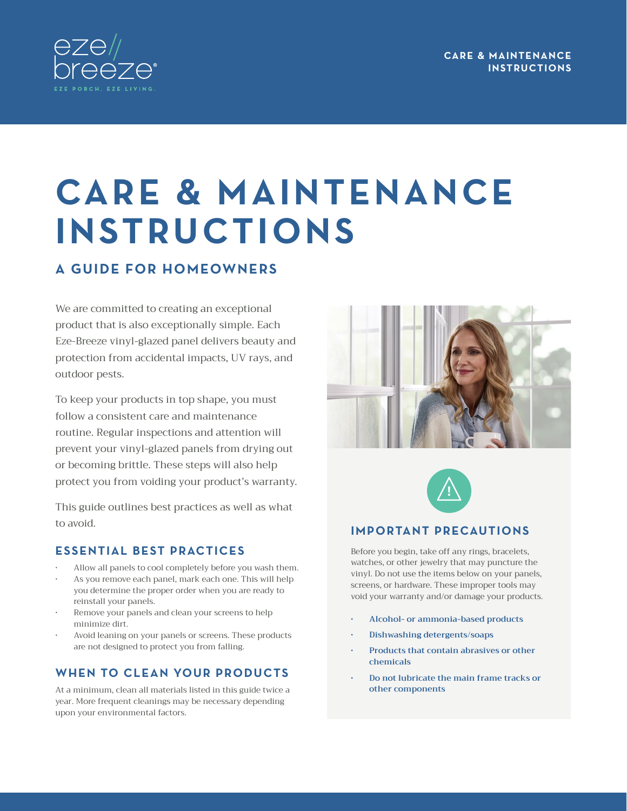**CARE & MAINTENANCE INSTRUCTIONS** 



# **CARE & MAINTENANCE INSTRUCTIONS**

## **A GUIDE FOR HOMEOWNERS**

We are committed to creating an exceptional product that is also exceptionally simple. Each Eze-Breeze vinyl-glazed panel delivers beauty and protection from accidental impacts, UV rays, and outdoor pests.

To keep your products in top shape, you must follow a consistent care and maintenance routine. Regular inspections and attention will prevent your vinyl-glazed panels from drying out or becoming brittle. These steps will also help protect you from voiding your product's warranty.

This guide outlines best practices as well as what to avoid.

### **ESSENTIAL BEST PRACTICES**

- Allow all panels to cool completely before you wash them.
- As you remove each panel, mark each one. This will help you determine the proper order when you are ready to reinstall your panels.
- Remove your panels and clean your screens to help minimize dirt.
- Avoid leaning on your panels or screens. These products are not designed to protect you from falling.

## **WHEN TO CLEAN YOUR PRODUCTS**

At a minimum, clean all materials listed in this guide twice a year. More frequent cleanings may be necessary depending upon your environmental factors.





## **IMPORTANT PRECAUTIONS**

Before you begin, take off any rings, bracelets, watches, or other jewelry that may puncture the vinyl. Do not use the items below on your panels, screens, or hardware. These improper tools may void your warranty and/or damage your products.

- **• Alcohol- or ammonia-based products**
- **• Dishwashing detergents/soaps**
- **• Products that contain abrasives or other chemicals**
- **• Do not lubricate the main frame tracks or other components**